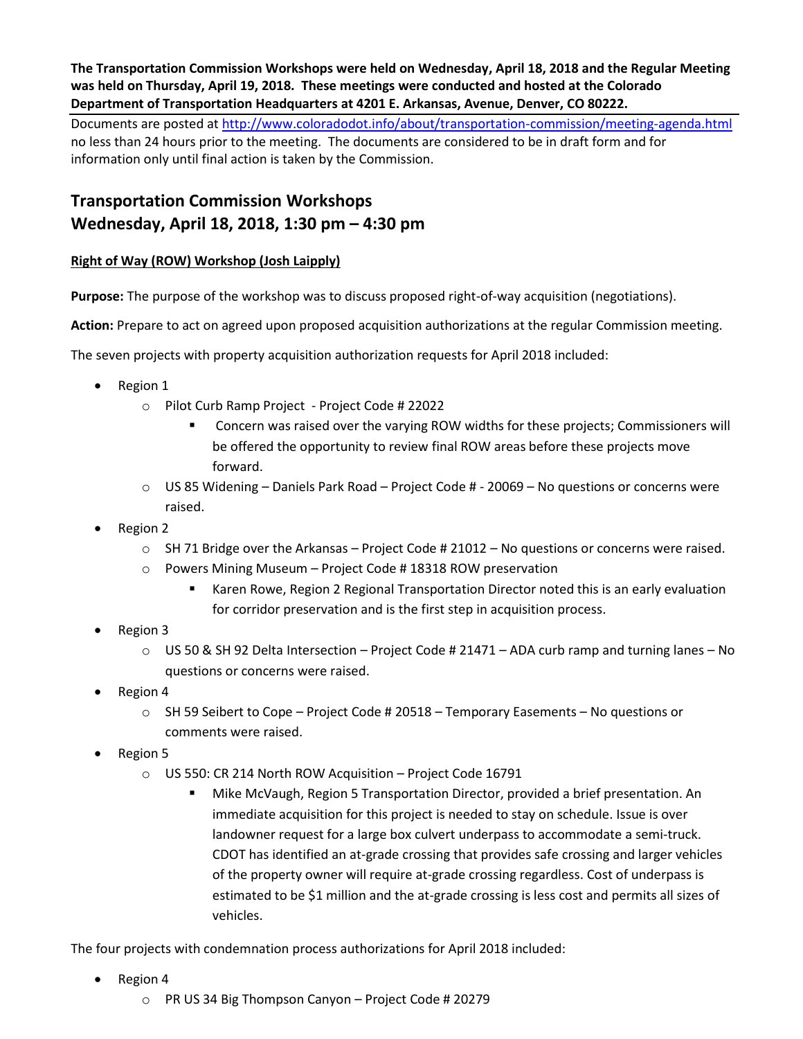**The Transportation Commission Workshops were held on Wednesday, April 18, 2018 and the Regular Meeting was held on Thursday, April 19, 2018. These meetings were conducted and hosted at the Colorado Department of Transportation Headquarters at 4201 E. Arkansas, Avenue, Denver, CO 80222.**

Documents are posted at http://www.coloradodot.info/about/transportation-commission/meeting-agenda.html no less than 24 hours prior to the meeting. The documents are considered to be in draft form and for information only until final action is taken by the Commission.

## **Transportation Commission Workshops Wednesday, April 18, 2018, 1:30 pm – 4:30 pm**

## **Right of Way (ROW) Workshop (Josh Laipply)**

**Purpose:** The purpose of the workshop was to discuss proposed right-of-way acquisition (negotiations).

**Action:** Prepare to act on agreed upon proposed acquisition authorizations at the regular Commission meeting.

The seven projects with property acquisition authorization requests for April 2018 included:

- Region 1
	- o Pilot Curb Ramp Project Project Code # 22022
		- Concern was raised over the varying ROW widths for these projects; Commissioners will be offered the opportunity to review final ROW areas before these projects move forward.
	- o US 85 Widening Daniels Park Road Project Code # 20069 No questions or concerns were raised.
- Region 2
	- $\circ$  SH 71 Bridge over the Arkansas Project Code # 21012 No questions or concerns were raised.
	- o Powers Mining Museum Project Code # 18318 ROW preservation
		- Karen Rowe, Region 2 Regional Transportation Director noted this is an early evaluation for corridor preservation and is the first step in acquisition process.
- Region 3
	- $\circ$  US 50 & SH 92 Delta Intersection Project Code # 21471 ADA curb ramp and turning lanes No questions or concerns were raised.
- Region 4
	- $\circ$  SH 59 Seibert to Cope Project Code # 20518 Temporary Easements No questions or comments were raised.
- Region 5
	- o US 550: CR 214 North ROW Acquisition Project Code 16791
		- Mike McVaugh, Region 5 Transportation Director, provided a brief presentation. An immediate acquisition for this project is needed to stay on schedule. Issue is over landowner request for a large box culvert underpass to accommodate a semi-truck. CDOT has identified an at-grade crossing that provides safe crossing and larger vehicles of the property owner will require at-grade crossing regardless. Cost of underpass is estimated to be \$1 million and the at-grade crossing is less cost and permits all sizes of vehicles.

The four projects with condemnation process authorizations for April 2018 included:

- Region 4
	- o PR US 34 Big Thompson Canyon Project Code # 20279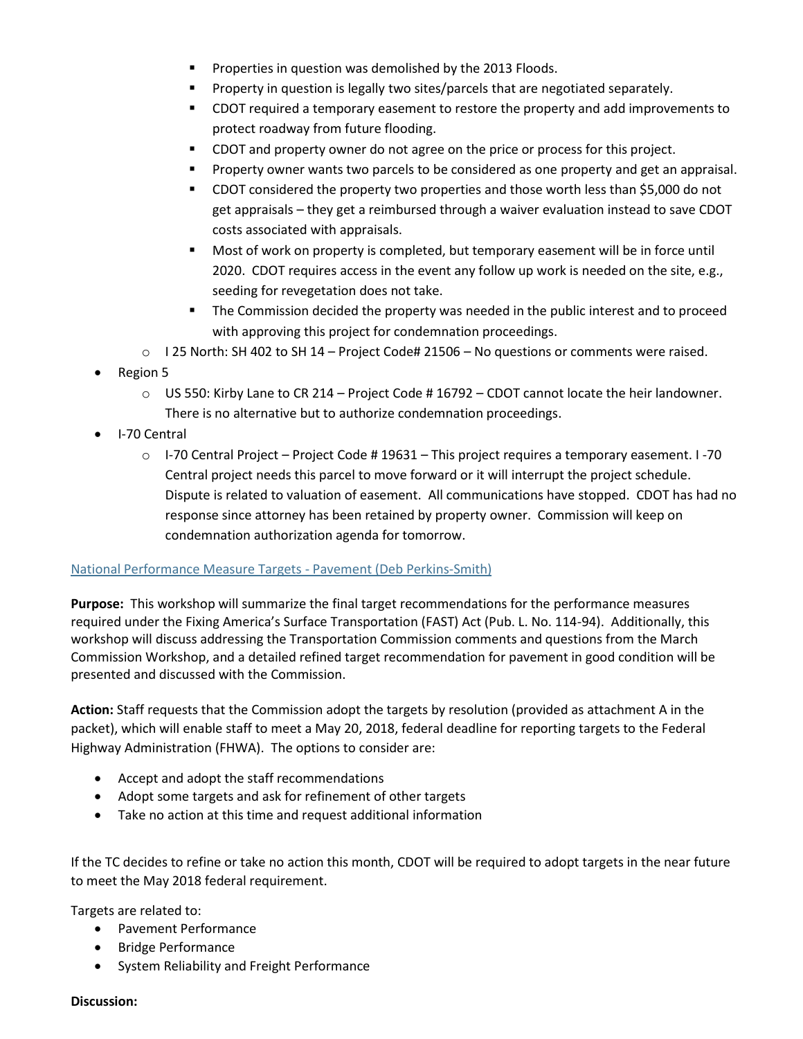- **Properties in question was demolished by the 2013 Floods.**
- **Property in question is legally two sites/parcels that are negotiated separately.**
- CDOT required a temporary easement to restore the property and add improvements to protect roadway from future flooding.
- CDOT and property owner do not agree on the price or process for this project.
- **Property owner wants two parcels to be considered as one property and get an appraisal.**
- CDOT considered the property two properties and those worth less than \$5,000 do not get appraisals – they get a reimbursed through a waiver evaluation instead to save CDOT costs associated with appraisals.
- Most of work on property is completed, but temporary easement will be in force until 2020. CDOT requires access in the event any follow up work is needed on the site, e.g., seeding for revegetation does not take.
- **The Commission decided the property was needed in the public interest and to proceed** with approving this project for condemnation proceedings.
- $\circ$  125 North: SH 402 to SH 14 Project Code# 21506 No questions or comments were raised.
- Region 5
	- $\circ$  US 550: Kirby Lane to CR 214 Project Code # 16792 CDOT cannot locate the heir landowner. There is no alternative but to authorize condemnation proceedings.
- I-70 Central
	- o I-70 Central Project Project Code # 19631 This project requires a temporary easement. I -70 Central project needs this parcel to move forward or it will interrupt the project schedule. Dispute is related to valuation of easement. All communications have stopped. CDOT has had no response since attorney has been retained by property owner. Commission will keep on condemnation authorization agenda for tomorrow.

## [National Performance Measure Targets -](https://www.codot.gov/about/transportation-commission/documents/2018-agendas-and-supporting-documents/april-2018/1-national-performance-measure-targets.pdf) Pavement (Deb Perkins-Smith)

**Purpose:** This workshop will summarize the final target recommendations for the performance measures required under the Fixing America's Surface Transportation (FAST) Act (Pub. L. No. 114-94). Additionally, this workshop will discuss addressing the Transportation Commission comments and questions from the March Commission Workshop, and a detailed refined target recommendation for pavement in good condition will be presented and discussed with the Commission.

**Action:** Staff requests that the Commission adopt the targets by resolution (provided as attachment A in the packet), which will enable staff to meet a May 20, 2018, federal deadline for reporting targets to the Federal Highway Administration (FHWA). The options to consider are:

- Accept and adopt the staff recommendations
- Adopt some targets and ask for refinement of other targets
- Take no action at this time and request additional information

If the TC decides to refine or take no action this month, CDOT will be required to adopt targets in the near future to meet the May 2018 federal requirement.

Targets are related to:

- Pavement Performance
- Bridge Performance
- System Reliability and Freight Performance

#### **Discussion:**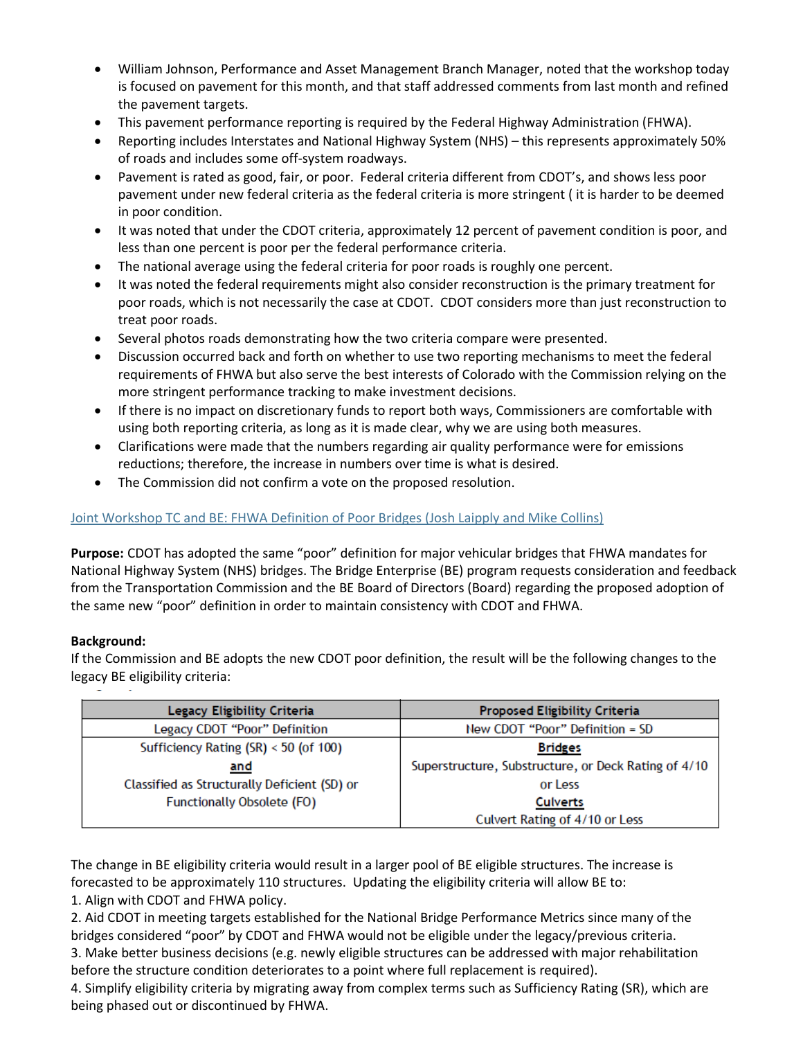- William Johnson, Performance and Asset Management Branch Manager, noted that the workshop today is focused on pavement for this month, and that staff addressed comments from last month and refined the pavement targets.
- This pavement performance reporting is required by the Federal Highway Administration (FHWA).
- Reporting includes Interstates and National Highway System (NHS) this represents approximately 50% of roads and includes some off-system roadways.
- Pavement is rated as good, fair, or poor. Federal criteria different from CDOT's, and shows less poor pavement under new federal criteria as the federal criteria is more stringent ( it is harder to be deemed in poor condition.
- It was noted that under the CDOT criteria, approximately 12 percent of pavement condition is poor, and less than one percent is poor per the federal performance criteria.
- The national average using the federal criteria for poor roads is roughly one percent.
- It was noted the federal requirements might also consider reconstruction is the primary treatment for poor roads, which is not necessarily the case at CDOT. CDOT considers more than just reconstruction to treat poor roads.
- Several photos roads demonstrating how the two criteria compare were presented.
- Discussion occurred back and forth on whether to use two reporting mechanisms to meet the federal requirements of FHWA but also serve the best interests of Colorado with the Commission relying on the more stringent performance tracking to make investment decisions.
- If there is no impact on discretionary funds to report both ways, Commissioners are comfortable with using both reporting criteria, as long as it is made clear, why we are using both measures.
- Clarifications were made that the numbers regarding air quality performance were for emissions reductions; therefore, the increase in numbers over time is what is desired.
- The Commission did not confirm a vote on the proposed resolution.

## [Joint Workshop TC and BE: FHWA Definition of Poor Bridges \(Josh Laipply and Mike Collins\)](https://www.codot.gov/about/transportation-commission/documents/2018-agendas-and-supporting-documents/april-2018/2-fhwa-poor-bridges-defined.pdf)

**Purpose:** CDOT has adopted the same "poor" definition for major vehicular bridges that FHWA mandates for National Highway System (NHS) bridges. The Bridge Enterprise (BE) program requests consideration and feedback from the Transportation Commission and the BE Board of Directors (Board) regarding the proposed adoption of the same new "poor" definition in order to maintain consistency with CDOT and FHWA.

## **Background:**

If the Commission and BE adopts the new CDOT poor definition, the result will be the following changes to the legacy BE eligibility criteria:

| Legacy Eligibility Criteria                  | <b>Proposed Eligibility Criteria</b>                 |
|----------------------------------------------|------------------------------------------------------|
| Legacy CDOT "Poor" Definition                | New CDOT "Poor" Definition = SD                      |
| Sufficiency Rating (SR) < 50 (of 100)        | <b>Bridges</b>                                       |
| and                                          | Superstructure, Substructure, or Deck Rating of 4/10 |
| Classified as Structurally Deficient (SD) or | or Less                                              |
| Functionally Obsolete (FO)                   | <b>Culverts</b>                                      |
|                                              | Culvert Rating of 4/10 or Less                       |

The change in BE eligibility criteria would result in a larger pool of BE eligible structures. The increase is forecasted to be approximately 110 structures. Updating the eligibility criteria will allow BE to:

1. Align with CDOT and FHWA policy.

2. Aid CDOT in meeting targets established for the National Bridge Performance Metrics since many of the bridges considered "poor" by CDOT and FHWA would not be eligible under the legacy/previous criteria. 3. Make better business decisions (e.g. newly eligible structures can be addressed with major rehabilitation

before the structure condition deteriorates to a point where full replacement is required).

4. Simplify eligibility criteria by migrating away from complex terms such as Sufficiency Rating (SR), which are being phased out or discontinued by FHWA.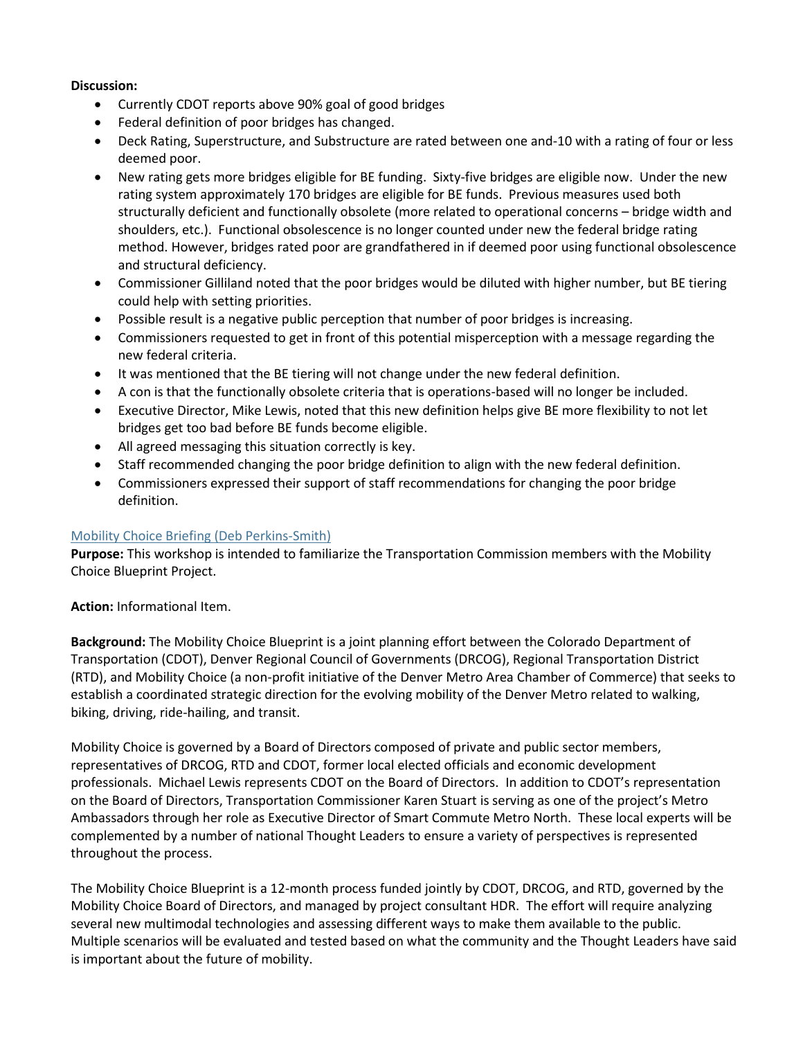#### **Discussion:**

- Currently CDOT reports above 90% goal of good bridges
- Federal definition of poor bridges has changed.
- Deck Rating, Superstructure, and Substructure are rated between one and-10 with a rating of four or less deemed poor.
- New rating gets more bridges eligible for BE funding. Sixty-five bridges are eligible now. Under the new rating system approximately 170 bridges are eligible for BE funds. Previous measures used both structurally deficient and functionally obsolete (more related to operational concerns – bridge width and shoulders, etc.). Functional obsolescence is no longer counted under new the federal bridge rating method. However, bridges rated poor are grandfathered in if deemed poor using functional obsolescence and structural deficiency.
- Commissioner Gilliland noted that the poor bridges would be diluted with higher number, but BE tiering could help with setting priorities.
- Possible result is a negative public perception that number of poor bridges is increasing.
- Commissioners requested to get in front of this potential misperception with a message regarding the new federal criteria.
- It was mentioned that the BE tiering will not change under the new federal definition.
- A con is that the functionally obsolete criteria that is operations-based will no longer be included.
- Executive Director, Mike Lewis, noted that this new definition helps give BE more flexibility to not let bridges get too bad before BE funds become eligible.
- All agreed messaging this situation correctly is key.
- Staff recommended changing the poor bridge definition to align with the new federal definition.
- Commissioners expressed their support of staff recommendations for changing the poor bridge definition.

## [Mobility Choice Briefing \(Deb Perkins-Smith\)](https://www.codot.gov/about/transportation-commission/documents/2018-agendas-and-supporting-documents/april-2018/3-mobility-choice-briefing.pdf)

**Purpose:** This workshop is intended to familiarize the Transportation Commission members with the Mobility Choice Blueprint Project.

**Action:** Informational Item.

**Background:** The Mobility Choice Blueprint is a joint planning effort between the Colorado Department of Transportation (CDOT), Denver Regional Council of Governments (DRCOG), Regional Transportation District (RTD), and Mobility Choice (a non-profit initiative of the Denver Metro Area Chamber of Commerce) that seeks to establish a coordinated strategic direction for the evolving mobility of the Denver Metro related to walking, biking, driving, ride-hailing, and transit.

Mobility Choice is governed by a Board of Directors composed of private and public sector members, representatives of DRCOG, RTD and CDOT, former local elected officials and economic development professionals. Michael Lewis represents CDOT on the Board of Directors. In addition to CDOT's representation on the Board of Directors, Transportation Commissioner Karen Stuart is serving as one of the project's Metro Ambassadors through her role as Executive Director of Smart Commute Metro North. These local experts will be complemented by a number of national Thought Leaders to ensure a variety of perspectives is represented throughout the process.

The Mobility Choice Blueprint is a 12-month process funded jointly by CDOT, DRCOG, and RTD, governed by the Mobility Choice Board of Directors, and managed by project consultant HDR. The effort will require analyzing several new multimodal technologies and assessing different ways to make them available to the public. Multiple scenarios will be evaluated and tested based on what the community and the Thought Leaders have said is important about the future of mobility.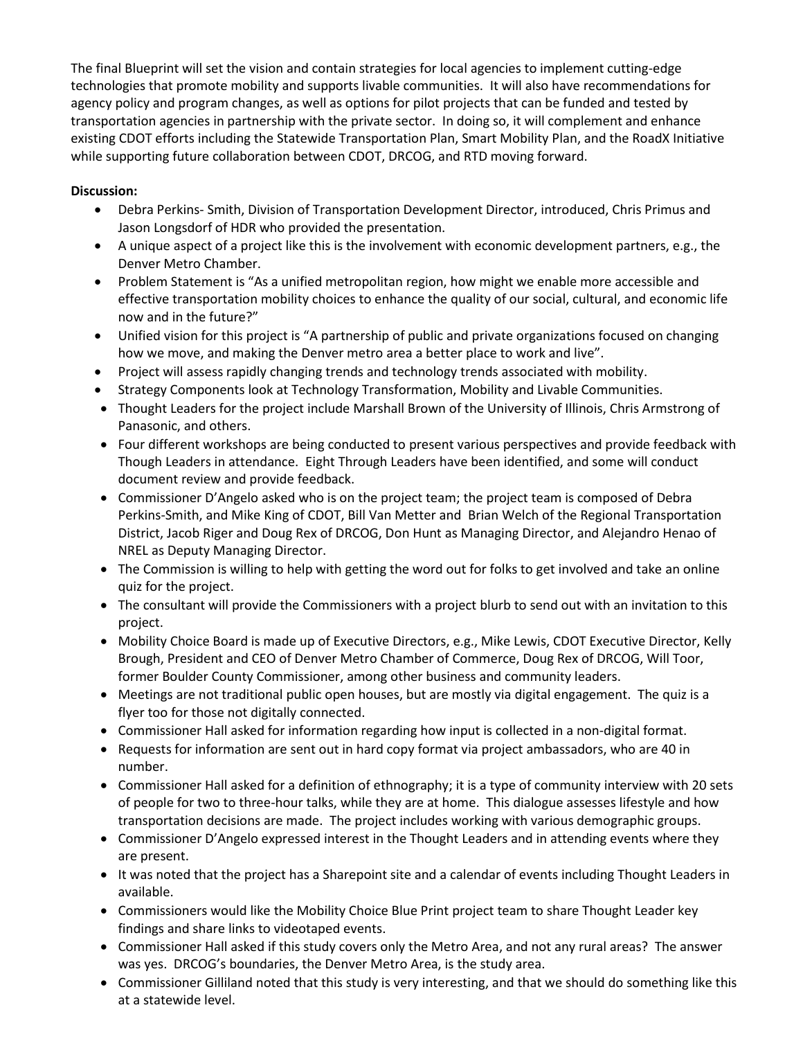The final Blueprint will set the vision and contain strategies for local agencies to implement cutting-edge technologies that promote mobility and supports livable communities. It will also have recommendations for agency policy and program changes, as well as options for pilot projects that can be funded and tested by transportation agencies in partnership with the private sector. In doing so, it will complement and enhance existing CDOT efforts including the Statewide Transportation Plan, Smart Mobility Plan, and the RoadX Initiative while supporting future collaboration between CDOT, DRCOG, and RTD moving forward.

## **Discussion:**

- Debra Perkins- Smith, Division of Transportation Development Director, introduced, Chris Primus and Jason Longsdorf of HDR who provided the presentation.
- A unique aspect of a project like this is the involvement with economic development partners, e.g., the Denver Metro Chamber.
- Problem Statement is "As a unified metropolitan region, how might we enable more accessible and effective transportation mobility choices to enhance the quality of our social, cultural, and economic life now and in the future?"
- Unified vision for this project is "A partnership of public and private organizations focused on changing how we move, and making the Denver metro area a better place to work and live".
- Project will assess rapidly changing trends and technology trends associated with mobility.
- Strategy Components look at Technology Transformation, Mobility and Livable Communities.
- Thought Leaders for the project include Marshall Brown of the University of Illinois, Chris Armstrong of Panasonic, and others.
- Four different workshops are being conducted to present various perspectives and provide feedback with Though Leaders in attendance. Eight Through Leaders have been identified, and some will conduct document review and provide feedback.
- Commissioner D'Angelo asked who is on the project team; the project team is composed of Debra Perkins-Smith, and Mike King of CDOT, Bill Van Metter and Brian Welch of the Regional Transportation District, Jacob Riger and Doug Rex of DRCOG, Don Hunt as Managing Director, and Alejandro Henao of NREL as Deputy Managing Director.
- The Commission is willing to help with getting the word out for folks to get involved and take an online quiz for the project.
- The consultant will provide the Commissioners with a project blurb to send out with an invitation to this project.
- Mobility Choice Board is made up of Executive Directors, e.g., Mike Lewis, CDOT Executive Director, Kelly Brough, President and CEO of Denver Metro Chamber of Commerce, Doug Rex of DRCOG, Will Toor, former Boulder County Commissioner, among other business and community leaders.
- Meetings are not traditional public open houses, but are mostly via digital engagement. The quiz is a flyer too for those not digitally connected.
- Commissioner Hall asked for information regarding how input is collected in a non-digital format.
- Requests for information are sent out in hard copy format via project ambassadors, who are 40 in number.
- Commissioner Hall asked for a definition of ethnography; it is a type of community interview with 20 sets of people for two to three-hour talks, while they are at home. This dialogue assesses lifestyle and how transportation decisions are made. The project includes working with various demographic groups.
- Commissioner D'Angelo expressed interest in the Thought Leaders and in attending events where they are present.
- It was noted that the project has a Sharepoint site and a calendar of events including Thought Leaders in available.
- Commissioners would like the Mobility Choice Blue Print project team to share Thought Leader key findings and share links to videotaped events.
- Commissioner Hall asked if this study covers only the Metro Area, and not any rural areas? The answer was yes. DRCOG's boundaries, the Denver Metro Area, is the study area.
- Commissioner Gilliland noted that this study is very interesting, and that we should do something like this at a statewide level.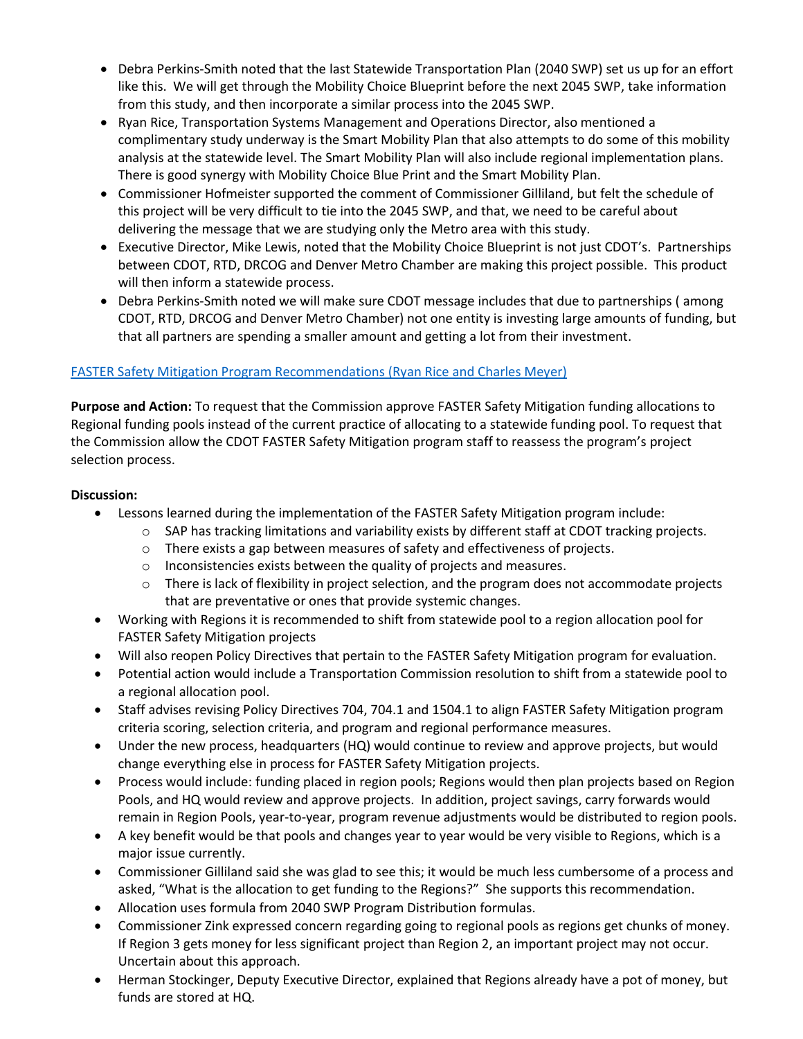- Debra Perkins-Smith noted that the last Statewide Transportation Plan (2040 SWP) set us up for an effort like this. We will get through the Mobility Choice Blueprint before the next 2045 SWP, take information from this study, and then incorporate a similar process into the 2045 SWP.
- Ryan Rice, Transportation Systems Management and Operations Director, also mentioned a complimentary study underway is the Smart Mobility Plan that also attempts to do some of this mobility analysis at the statewide level. The Smart Mobility Plan will also include regional implementation plans. There is good synergy with Mobility Choice Blue Print and the Smart Mobility Plan.
- Commissioner Hofmeister supported the comment of Commissioner Gilliland, but felt the schedule of this project will be very difficult to tie into the 2045 SWP, and that, we need to be careful about delivering the message that we are studying only the Metro area with this study.
- Executive Director, Mike Lewis, noted that the Mobility Choice Blueprint is not just CDOT's. Partnerships between CDOT, RTD, DRCOG and Denver Metro Chamber are making this project possible. This product will then inform a statewide process.
- Debra Perkins-Smith noted we will make sure CDOT message includes that due to partnerships (among CDOT, RTD, DRCOG and Denver Metro Chamber) not one entity is investing large amounts of funding, but that all partners are spending a smaller amount and getting a lot from their investment.

## [FASTER Safety Mitigation Program Recommendations](https://www.codot.gov/about/transportation-commission/documents/2018-agendas-and-supporting-documents/april-2018/4-faster-safety-mitigation-program.pdf) (Ryan Rice and Charles Meyer)

**Purpose and Action:** To request that the Commission approve FASTER Safety Mitigation funding allocations to Regional funding pools instead of the current practice of allocating to a statewide funding pool. To request that the Commission allow the CDOT FASTER Safety Mitigation program staff to reassess the program's project selection process.

#### **Discussion:**

- Lessons learned during the implementation of the FASTER Safety Mitigation program include:
	- o SAP has tracking limitations and variability exists by different staff at CDOT tracking projects.
	- o There exists a gap between measures of safety and effectiveness of projects.
	- o Inconsistencies exists between the quality of projects and measures.
	- o There is lack of flexibility in project selection, and the program does not accommodate projects that are preventative or ones that provide systemic changes.
- Working with Regions it is recommended to shift from statewide pool to a region allocation pool for FASTER Safety Mitigation projects
- Will also reopen Policy Directives that pertain to the FASTER Safety Mitigation program for evaluation.
- Potential action would include a Transportation Commission resolution to shift from a statewide pool to a regional allocation pool.
- Staff advises revising Policy Directives 704, 704.1 and 1504.1 to align FASTER Safety Mitigation program criteria scoring, selection criteria, and program and regional performance measures.
- Under the new process, headquarters (HQ) would continue to review and approve projects, but would change everything else in process for FASTER Safety Mitigation projects.
- Process would include: funding placed in region pools; Regions would then plan projects based on Region Pools, and HQ would review and approve projects. In addition, project savings, carry forwards would remain in Region Pools, year-to-year, program revenue adjustments would be distributed to region pools.
- A key benefit would be that pools and changes year to year would be very visible to Regions, which is a major issue currently.
- Commissioner Gilliland said she was glad to see this; it would be much less cumbersome of a process and asked, "What is the allocation to get funding to the Regions?" She supports this recommendation.
- Allocation uses formula from 2040 SWP Program Distribution formulas.
- Commissioner Zink expressed concern regarding going to regional pools as regions get chunks of money. If Region 3 gets money for less significant project than Region 2, an important project may not occur. Uncertain about this approach.
- Herman Stockinger, Deputy Executive Director, explained that Regions already have a pot of money, but funds are stored at HQ.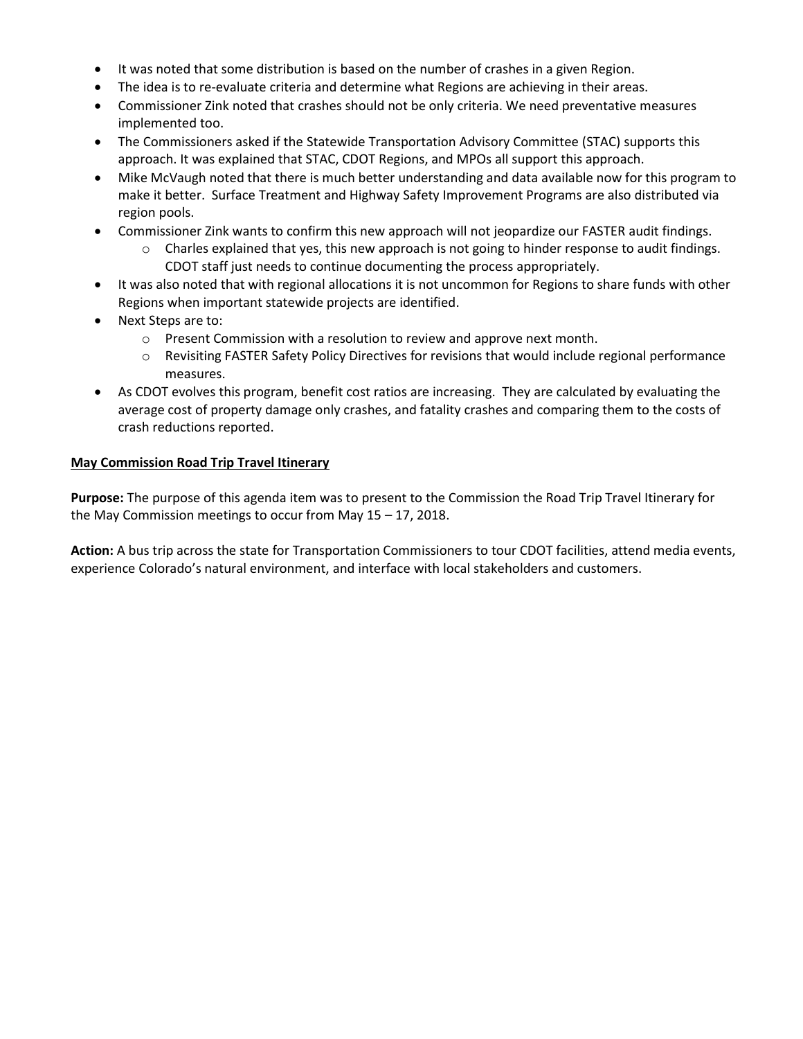- It was noted that some distribution is based on the number of crashes in a given Region.
- The idea is to re-evaluate criteria and determine what Regions are achieving in their areas.
- Commissioner Zink noted that crashes should not be only criteria. We need preventative measures implemented too.
- The Commissioners asked if the Statewide Transportation Advisory Committee (STAC) supports this approach. It was explained that STAC, CDOT Regions, and MPOs all support this approach.
- Mike McVaugh noted that there is much better understanding and data available now for this program to make it better. Surface Treatment and Highway Safety Improvement Programs are also distributed via region pools.
- Commissioner Zink wants to confirm this new approach will not jeopardize our FASTER audit findings.
	- $\circ$  Charles explained that yes, this new approach is not going to hinder response to audit findings. CDOT staff just needs to continue documenting the process appropriately.
- It was also noted that with regional allocations it is not uncommon for Regions to share funds with other Regions when important statewide projects are identified.
- Next Steps are to:
	- o Present Commission with a resolution to review and approve next month.
	- o Revisiting FASTER Safety Policy Directives for revisions that would include regional performance measures.
- As CDOT evolves this program, benefit cost ratios are increasing. They are calculated by evaluating the average cost of property damage only crashes, and fatality crashes and comparing them to the costs of crash reductions reported.

#### **May Commission Road Trip Travel Itinerary**

**Purpose:** The purpose of this agenda item was to present to the Commission the Road Trip Travel Itinerary for the May Commission meetings to occur from May 15 – 17, 2018.

**Action:** A bus trip across the state for Transportation Commissioners to tour CDOT facilities, attend media events, experience Colorado's natural environment, and interface with local stakeholders and customers.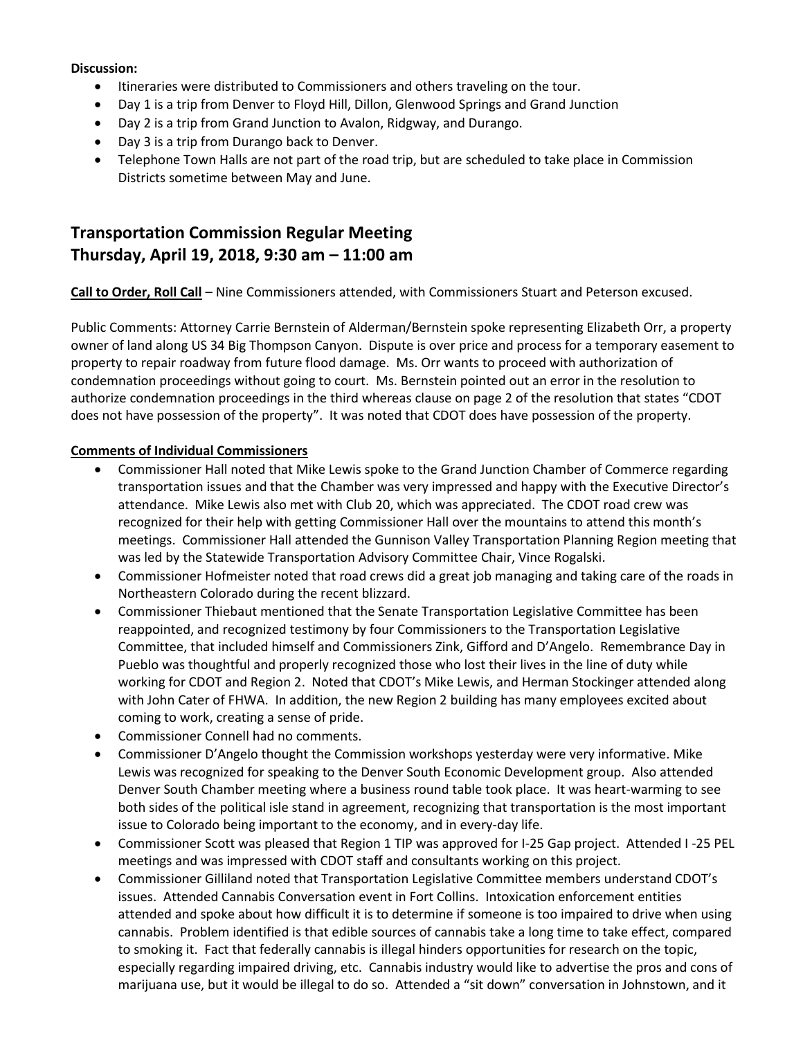#### **Discussion:**

- $\bullet$  Itineraries were distributed to Commissioners and others traveling on the tour.
- Day 1 is a trip from Denver to Floyd Hill, Dillon, Glenwood Springs and Grand Junction
- Day 2 is a trip from Grand Junction to Avalon, Ridgway, and Durango.
- Day 3 is a trip from Durango back to Denver.
- Telephone Town Halls are not part of the road trip, but are scheduled to take place in Commission Districts sometime between May and June.

# **Transportation Commission Regular Meeting Thursday, April 19, 2018, 9:30 am – 11:00 am**

**Call to Order, Roll Call** – Nine Commissioners attended, with Commissioners Stuart and Peterson excused.

Public Comments: Attorney Carrie Bernstein of Alderman/Bernstein spoke representing Elizabeth Orr, a property owner of land along US 34 Big Thompson Canyon. Dispute is over price and process for a temporary easement to property to repair roadway from future flood damage. Ms. Orr wants to proceed with authorization of condemnation proceedings without going to court. Ms. Bernstein pointed out an error in the resolution to authorize condemnation proceedings in the third whereas clause on page 2 of the resolution that states "CDOT does not have possession of the property". It was noted that CDOT does have possession of the property.

## **Comments of Individual Commissioners**

- Commissioner Hall noted that Mike Lewis spoke to the Grand Junction Chamber of Commerce regarding transportation issues and that the Chamber was very impressed and happy with the Executive Director's attendance. Mike Lewis also met with Club 20, which was appreciated. The CDOT road crew was recognized for their help with getting Commissioner Hall over the mountains to attend this month's meetings. Commissioner Hall attended the Gunnison Valley Transportation Planning Region meeting that was led by the Statewide Transportation Advisory Committee Chair, Vince Rogalski.
- Commissioner Hofmeister noted that road crews did a great job managing and taking care of the roads in Northeastern Colorado during the recent blizzard.
- Commissioner Thiebaut mentioned that the Senate Transportation Legislative Committee has been reappointed, and recognized testimony by four Commissioners to the Transportation Legislative Committee, that included himself and Commissioners Zink, Gifford and D'Angelo. Remembrance Day in Pueblo was thoughtful and properly recognized those who lost their lives in the line of duty while working for CDOT and Region 2. Noted that CDOT's Mike Lewis, and Herman Stockinger attended along with John Cater of FHWA. In addition, the new Region 2 building has many employees excited about coming to work, creating a sense of pride.
- Commissioner Connell had no comments.
- Commissioner D'Angelo thought the Commission workshops yesterday were very informative. Mike Lewis was recognized for speaking to the Denver South Economic Development group. Also attended Denver South Chamber meeting where a business round table took place. It was heart-warming to see both sides of the political isle stand in agreement, recognizing that transportation is the most important issue to Colorado being important to the economy, and in every-day life.
- Commissioner Scott was pleased that Region 1 TIP was approved for I-25 Gap project. Attended I -25 PEL meetings and was impressed with CDOT staff and consultants working on this project.
- Commissioner Gilliland noted that Transportation Legislative Committee members understand CDOT's issues. Attended Cannabis Conversation event in Fort Collins. Intoxication enforcement entities attended and spoke about how difficult it is to determine if someone is too impaired to drive when using cannabis. Problem identified is that edible sources of cannabis take a long time to take effect, compared to smoking it. Fact that federally cannabis is illegal hinders opportunities for research on the topic, especially regarding impaired driving, etc. Cannabis industry would like to advertise the pros and cons of marijuana use, but it would be illegal to do so. Attended a "sit down" conversation in Johnstown, and it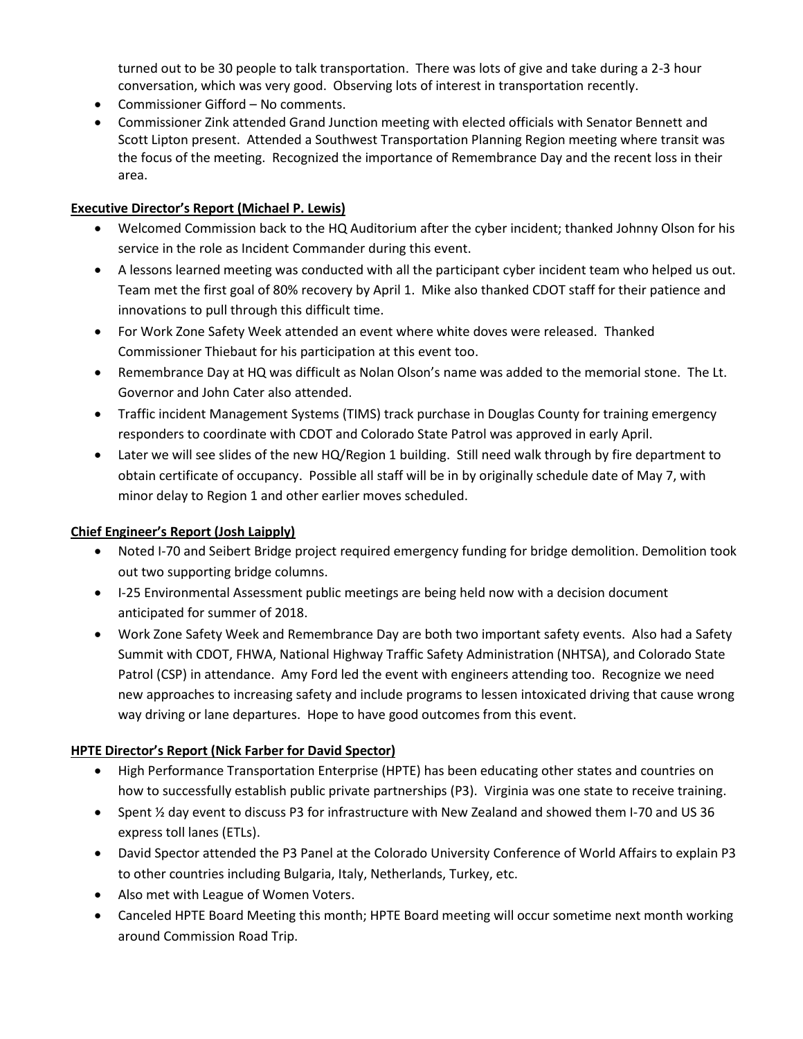turned out to be 30 people to talk transportation. There was lots of give and take during a 2-3 hour conversation, which was very good. Observing lots of interest in transportation recently.

- Commissioner Gifford No comments.
- Commissioner Zink attended Grand Junction meeting with elected officials with Senator Bennett and Scott Lipton present. Attended a Southwest Transportation Planning Region meeting where transit was the focus of the meeting. Recognized the importance of Remembrance Day and the recent loss in their area.

## **Executive Director's Report (Michael P. Lewis)**

- Welcomed Commission back to the HQ Auditorium after the cyber incident; thanked Johnny Olson for his service in the role as Incident Commander during this event.
- A lessons learned meeting was conducted with all the participant cyber incident team who helped us out. Team met the first goal of 80% recovery by April 1. Mike also thanked CDOT staff for their patience and innovations to pull through this difficult time.
- For Work Zone Safety Week attended an event where white doves were released. Thanked Commissioner Thiebaut for his participation at this event too.
- Remembrance Day at HQ was difficult as Nolan Olson's name was added to the memorial stone. The Lt. Governor and John Cater also attended.
- Traffic incident Management Systems (TIMS) track purchase in Douglas County for training emergency responders to coordinate with CDOT and Colorado State Patrol was approved in early April.
- Later we will see slides of the new HQ/Region 1 building. Still need walk through by fire department to obtain certificate of occupancy. Possible all staff will be in by originally schedule date of May 7, with minor delay to Region 1 and other earlier moves scheduled.

## **Chief Engineer's Report (Josh Laipply)**

- Noted I-70 and Seibert Bridge project required emergency funding for bridge demolition. Demolition took out two supporting bridge columns.
- I-25 Environmental Assessment public meetings are being held now with a decision document anticipated for summer of 2018.
- Work Zone Safety Week and Remembrance Day are both two important safety events. Also had a Safety Summit with CDOT, FHWA, National Highway Traffic Safety Administration (NHTSA), and Colorado State Patrol (CSP) in attendance. Amy Ford led the event with engineers attending too. Recognize we need new approaches to increasing safety and include programs to lessen intoxicated driving that cause wrong way driving or lane departures. Hope to have good outcomes from this event.

## **HPTE Director's Report (Nick Farber for David Spector)**

- High Performance Transportation Enterprise (HPTE) has been educating other states and countries on how to successfully establish public private partnerships (P3). Virginia was one state to receive training.
- Spent ½ day event to discuss P3 for infrastructure with New Zealand and showed them I-70 and US 36 express toll lanes (ETLs).
- David Spector attended the P3 Panel at the Colorado University Conference of World Affairs to explain P3 to other countries including Bulgaria, Italy, Netherlands, Turkey, etc.
- Also met with League of Women Voters.
- Canceled HPTE Board Meeting this month; HPTE Board meeting will occur sometime next month working around Commission Road Trip.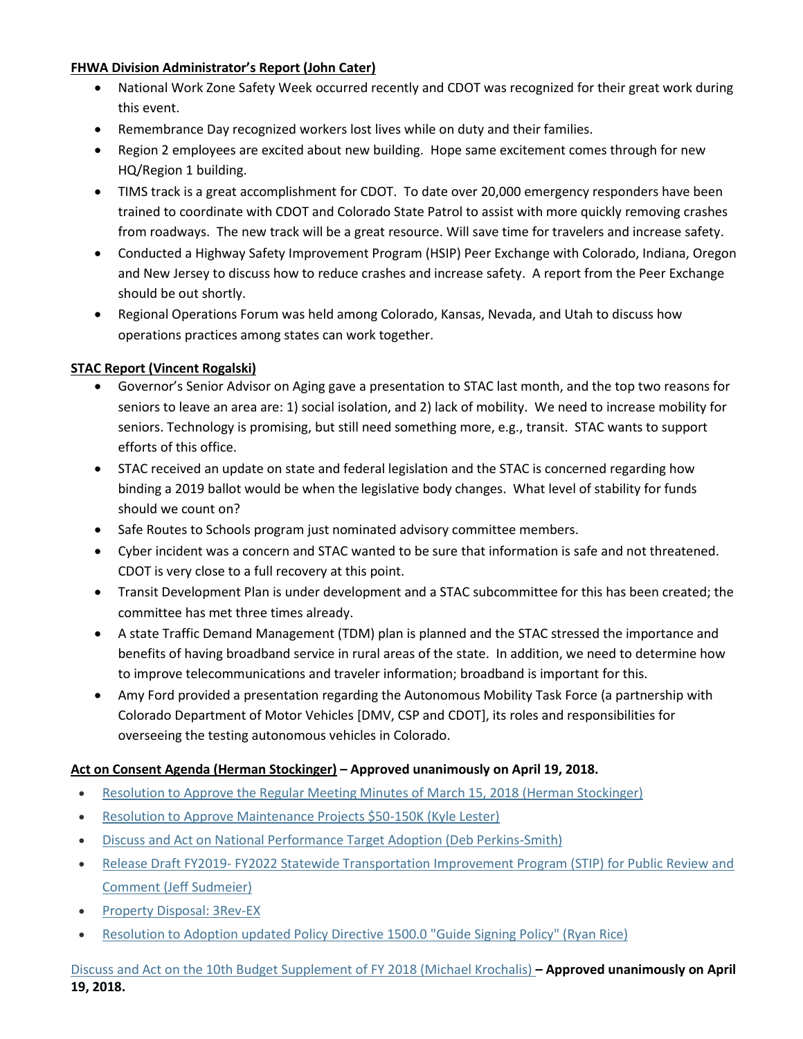## **FHWA Division Administrator's Report (John Cater)**

- National Work Zone Safety Week occurred recently and CDOT was recognized for their great work during this event.
- Remembrance Day recognized workers lost lives while on duty and their families.
- Region 2 employees are excited about new building. Hope same excitement comes through for new HQ/Region 1 building.
- TIMS track is a great accomplishment for CDOT. To date over 20,000 emergency responders have been trained to coordinate with CDOT and Colorado State Patrol to assist with more quickly removing crashes from roadways. The new track will be a great resource. Will save time for travelers and increase safety.
- Conducted a Highway Safety Improvement Program (HSIP) Peer Exchange with Colorado, Indiana, Oregon and New Jersey to discuss how to reduce crashes and increase safety. A report from the Peer Exchange should be out shortly.
- Regional Operations Forum was held among Colorado, Kansas, Nevada, and Utah to discuss how operations practices among states can work together.

## **STAC Report (Vincent Rogalski)**

- Governor's Senior Advisor on Aging gave a presentation to STAC last month, and the top two reasons for seniors to leave an area are: 1) social isolation, and 2) lack of mobility. We need to increase mobility for seniors. Technology is promising, but still need something more, e.g., transit. STAC wants to support efforts of this office.
- STAC received an update on state and federal legislation and the STAC is concerned regarding how binding a 2019 ballot would be when the legislative body changes. What level of stability for funds should we count on?
- Safe Routes to Schools program just nominated advisory committee members.
- Cyber incident was a concern and STAC wanted to be sure that information is safe and not threatened. CDOT is very close to a full recovery at this point.
- Transit Development Plan is under development and a STAC subcommittee for this has been created; the committee has met three times already.
- A state Traffic Demand Management (TDM) plan is planned and the STAC stressed the importance and benefits of having broadband service in rural areas of the state. In addition, we need to determine how to improve telecommunications and traveler information; broadband is important for this.
- Amy Ford provided a presentation regarding the Autonomous Mobility Task Force (a partnership with Colorado Department of Motor Vehicles [DMV, CSP and CDOT], its roles and responsibilities for overseeing the testing autonomous vehicles in Colorado.

## **Act on Consent Agenda (Herman Stockinger) – Approved unanimously on April 19, 2018.**

- [Resolution to Approve the Regular Meeting Minutes of](https://www.codot.gov/about/transportation-commission/documents/2018-agendas-and-supporting-documents/april-2018/6-consent-agenda.pdf) March 15, 2018 (Herman Stockinger)
- [Resolution to Approve Maintenance Projects \\$50-150K \(Kyle Lester\)](https://www.codot.gov/about/transportation-commission/documents/2018-agendas-and-supporting-documents/april-2018/6-consent-agenda.pdf)
- [Discuss and Act on National Performance Target Adoption \(Deb Perkins-Smith\)](https://www.codot.gov/about/transportation-commission/documents/2018-agendas-and-supporting-documents/april-2018/6-consent-agenda.pdf)
- Release Draft FY2019- [FY2022 Statewide Transportation Improvement Program \(STIP\) for Public Review and](https://www.codot.gov/about/transportation-commission/documents/2018-agendas-and-supporting-documents/april-2018/6-consent-agenda.pdf)  [Comment \(Jeff Sudmeier\)](https://www.codot.gov/about/transportation-commission/documents/2018-agendas-and-supporting-documents/april-2018/6-consent-agenda.pdf)
- [Property Disposal: 3Rev-EX](https://www.codot.gov/about/transportation-commission/documents/2018-agendas-and-supporting-documents/april-2018/6-consent-agenda.pdf)
- [Resolution to Adoption updated Policy Directive 1500.0 "Guide Signing Policy" \(Ryan Rice\)](https://www.codot.gov/about/transportation-commission/documents/2018-agendas-and-supporting-documents/april-2018/6-consent-agenda.pdf)

[Discuss and Act on the 10th Budget Supplement of FY 2018 \(Michael Krochalis\)](https://www.codot.gov/about/transportation-commission/documents/2018-agendas-and-supporting-documents/april-2018/7-10th-budget-supplement.pdf) **– Approved unanimously on April 19, 2018.**